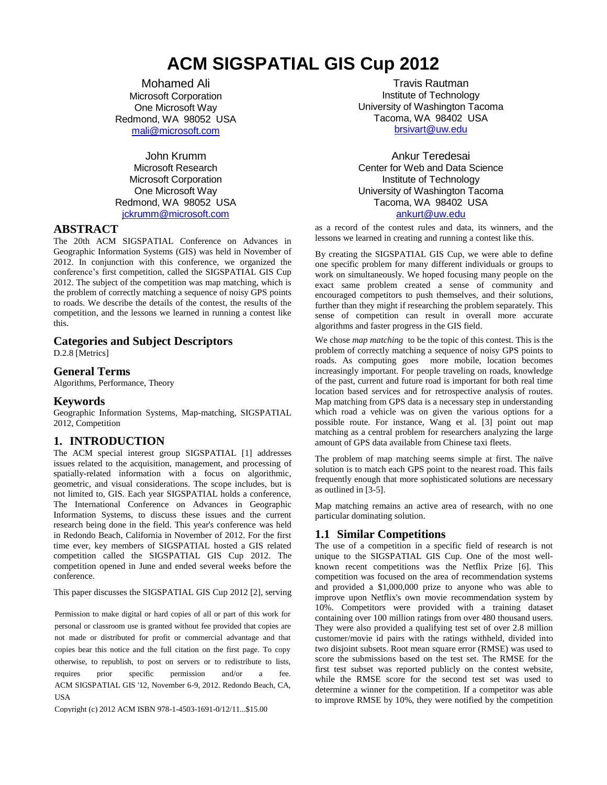# **ACM SIGSPATIAL GIS Cup 2012**

Mohamed Ali Microsoft Corporation One Microsoft Way Redmond, WA 98052 USA [mali@microsoft.com](mailto:mali@microsoft.com)

John Krumm Microsoft Research Microsoft Corporation One Microsoft Way Redmond, WA 98052 USA [jckrumm@microsoft.com](file:///C:/Users/jckrumm/Dropbox/GIS%20Cup%20Conference%20Paper/jckrumm@microsoft.com)

## **ABSTRACT**

The 20th ACM SIGSPATIAL Conference on Advances in Geographic Information Systems (GIS) was held in November of 2012. In conjunction with this conference, we organized the conference's first competition, called the SIGSPATIAL GIS Cup 2012. The subject of the competition was map matching, which is the problem of correctly matching a sequence of noisy GPS points to roads. We describe the details of the contest, the results of the competition, and the lessons we learned in running a contest like this.

## **Categories and Subject Descriptors**

D.2.8 [Metrics]

## **General Terms**

Algorithms, Performance, Theory

#### **Keywords**

Geographic Information Systems, Map-matching, SIGSPATIAL 2012, Competition

# **1. INTRODUCTION**

The ACM special interest group SIGSPATIAL [\[1\]](#page-3-0) addresses issues related to the acquisition, management, and processing of spatially-related information with a focus on algorithmic, geometric, and visual considerations. The scope includes, but is not limited to, GIS. Each year SIGSPATIAL holds a conference, The International Conference on Advances in Geographic Information Systems, to discuss these issues and the current research being done in the field. This year's conference was held in Redondo Beach, California in November of 2012. For the first time ever, key members of SIGSPATIAL hosted a GIS related competition called the SIGSPATIAL GIS Cup 2012. The competition opened in June and ended several weeks before the conference.

This paper discusses the SIGSPATIAL GIS Cup 2012 [\[2\]](#page-3-0), serving

Permission to make digital or hard copies of all or part of this work for personal or classroom use is granted without fee provided that copies are not made or distributed for profit or commercial advantage and that copies bear this notice and the full citation on the first page. To copy otherwise, to republish, to post on servers or to redistribute to lists, requires prior specific permission and/or a fee. ACM SIGSPATIAL GIS '12, November 6-9, 2012. Redondo Beach, CA, USA

Copyright (c) 2012 ACM ISBN 978-1-4503-1691-0/12/11...\$15.00

Travis Rautman Institute of Technology University of Washington Tacoma Tacoma, WA 98402 USA [brsivart@uw.edu](file:///C:/Users/jckrumm/Dropbox/GIS%20Cup%20Conference%20Paper/brsivart@uw.edu)

Ankur Teredesai Center for Web and Data Science Institute of Technology University of Washington Tacoma Tacoma, WA 98402 USA [ankurt@uw.edu](file:///C:/Users/jckrumm/Dropbox/GIS%20Cup%20Conference%20Paper/ankurt@uw.edu)

as a record of the contest rules and data, its winners, and the lessons we learned in creating and running a contest like this.

By creating the SIGSPATIAL GIS Cup, we were able to define one specific problem for many different individuals or groups to work on simultaneously. We hoped focusing many people on the exact same problem created a sense of community and encouraged competitors to push themselves, and their solutions, further than they might if researching the problem separately. This sense of competition can result in overall more accurate algorithms and faster progress in the GIS field.

We chose *map matching* to be the topic of this contest. This is the problem of correctly matching a sequence of noisy GPS points to roads. As computing goes more mobile, location becomes increasingly important. For people traveling on roads, knowledge of the past, current and future road is important for both real time location based services and for retrospective analysis of routes. Map matching from GPS data is a necessary step in understanding which road a vehicle was on given the various options for a possible route. For instance, Wang et al. [\[3\]](#page-3-0) point out map matching as a central problem for researchers analyzing the large amount of GPS data available from Chinese taxi fleets.

The problem of map matching seems simple at first. The naïve solution is to match each GPS point to the nearest road. This fails frequently enough that more sophisticated solutions are necessary as outlined in [\[3-5\]](#page-3-0).

Map matching remains an active area of research, with no one particular dominating solution.

# **1.1 Similar Competitions**

The use of a competition in a specific field of research is not unique to the SIGSPATIAL GIS Cup. One of the most wellknown recent competitions was the Netflix Prize [\[6\]](#page-3-0). This competition was focused on the area of recommendation systems and provided a \$1,000,000 prize to anyone who was able to improve upon Netflix's own movie recommendation system by 10%. Competitors were provided with a training dataset containing over 100 million ratings from over 480 thousand users. They were also provided a qualifying test set of over 2.8 million customer/movie id pairs with the ratings withheld, divided into two disjoint subsets. Root mean square error (RMSE) was used to score the submissions based on the test set. The RMSE for the first test subset was reported publicly on the contest website, while the RMSE score for the second test set was used to determine a winner for the competition. If a competitor was able to improve RMSE by 10%, they were notified by the competition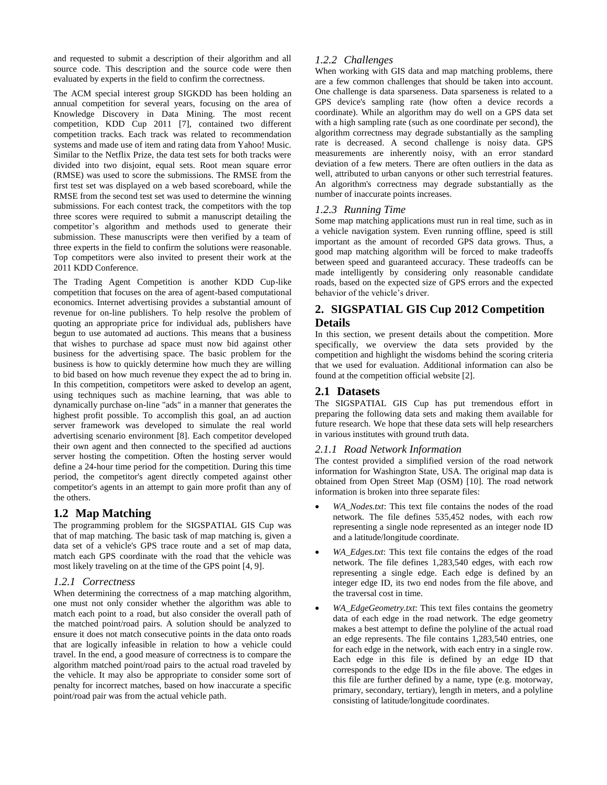and requested to submit a description of their algorithm and all source code. This description and the source code were then evaluated by experts in the field to confirm the correctness.

The ACM special interest group SIGKDD has been holding an annual competition for several years, focusing on the area of Knowledge Discovery in Data Mining. The most recent competition, KDD Cup 2011 [\[7\]](#page-3-0), contained two different competition tracks. Each track was related to recommendation systems and made use of item and rating data from Yahoo! Music. Similar to the Netflix Prize, the data test sets for both tracks were divided into two disjoint, equal sets. Root mean square error (RMSE) was used to score the submissions. The RMSE from the first test set was displayed on a web based scoreboard, while the RMSE from the second test set was used to determine the winning submissions. For each contest track, the competitors with the top three scores were required to submit a manuscript detailing the competitor's algorithm and methods used to generate their submission. These manuscripts were then verified by a team of three experts in the field to confirm the solutions were reasonable. Top competitors were also invited to present their work at the 2011 KDD Conference.

The Trading Agent Competition is another KDD Cup-like competition that focuses on the area of agent-based computational economics. Internet advertising provides a substantial amount of revenue for on-line publishers. To help resolve the problem of quoting an appropriate price for individual ads, publishers have begun to use automated ad auctions. This means that a business that wishes to purchase ad space must now bid against other business for the advertising space. The basic problem for the business is how to quickly determine how much they are willing to bid based on how much revenue they expect the ad to bring in. In this competition, competitors were asked to develop an agent, using techniques such as machine learning, that was able to dynamically purchase on-line "ads" in a manner that generates the highest profit possible. To accomplish this goal, an ad auction server framework was developed to simulate the real world advertising scenario environment [\[8\]](#page-3-0). Each competitor developed their own agent and then connected to the specified ad auctions server hosting the competition. Often the hosting server would define a 24-hour time period for the competition. During this time period, the competitor's agent directly competed against other competitor's agents in an attempt to gain more profit than any of the others.

# **1.2 Map Matching**

The programming problem for the SIGSPATIAL GIS Cup was that of map matching. The basic task of map matching is, given a data set of a vehicle's GPS trace route and a set of map data, match each GPS coordinate with the road that the vehicle was most likely traveling on at the time of the GPS point [\[4, 9\]](#page-3-0).

# *1.2.1 Correctness*

When determining the correctness of a map matching algorithm, one must not only consider whether the algorithm was able to match each point to a road, but also consider the overall path of the matched point/road pairs. A solution should be analyzed to ensure it does not match consecutive points in the data onto roads that are logically infeasible in relation to how a vehicle could travel. In the end, a good measure of correctness is to compare the algorithm matched point/road pairs to the actual road traveled by the vehicle. It may also be appropriate to consider some sort of penalty for incorrect matches, based on how inaccurate a specific point/road pair was from the actual vehicle path.

# *1.2.2 Challenges*

When working with GIS data and map matching problems, there are a few common challenges that should be taken into account. One challenge is data sparseness. Data sparseness is related to a GPS device's sampling rate (how often a device records a coordinate). While an algorithm may do well on a GPS data set with a high sampling rate (such as one coordinate per second), the algorithm correctness may degrade substantially as the sampling rate is decreased. A second challenge is noisy data. GPS measurements are inherently noisy, with an error standard deviation of a few meters. There are often outliers in the data as well, attributed to urban canyons or other such terrestrial features. An algorithm's correctness may degrade substantially as the number of inaccurate points increases.

#### *1.2.3 Running Time*

Some map matching applications must run in real time, such as in a vehicle navigation system. Even running offline, speed is still important as the amount of recorded GPS data grows. Thus, a good map matching algorithm will be forced to make tradeoffs between speed and guaranteed accuracy. These tradeoffs can be made intelligently by considering only reasonable candidate roads, based on the expected size of GPS errors and the expected behavior of the vehicle's driver.

# **2. SIGSPATIAL GIS Cup 2012 Competition Details**

In this section, we present details about the competition. More specifically, we overview the data sets provided by the competition and highlight the wisdoms behind the scoring criteria that we used for evaluation. Additional information can also be found at the competition official website [\[2\]](#page-3-0).

## **2.1 Datasets**

The SIGSPATIAL GIS Cup has put tremendous effort in preparing the following data sets and making them available for future research. We hope that these data sets will help researchers in various institutes with ground truth data.

#### *2.1.1 Road Network Information*

The contest provided a simplified version of the road network information for Washington State, USA. The original map data is obtained from Open Street Map (OSM) [\[10\]](#page-3-0). The road network information is broken into three separate files:

- *WA\_Nodes.txt*: This text file contains the nodes of the road network. The file defines 535,452 nodes, with each row representing a single node represented as an integer node ID and a latitude/longitude coordinate.
- *WA\_Edges.txt*: This text file contains the edges of the road network. The file defines 1,283,540 edges, with each row representing a single edge. Each edge is defined by an integer edge ID, its two end nodes from the file above, and the traversal cost in time.
- *WA\_EdgeGeometry.txt*: This text files contains the geometry data of each edge in the road network. The edge geometry makes a best attempt to define the polyline of the actual road an edge represents. The file contains 1,283,540 entries, one for each edge in the network, with each entry in a single row. Each edge in this file is defined by an edge ID that corresponds to the edge IDs in the file above. The edges in this file are further defined by a name, type (e.g. motorway, primary, secondary, tertiary), length in meters, and a polyline consisting of latitude/longitude coordinates.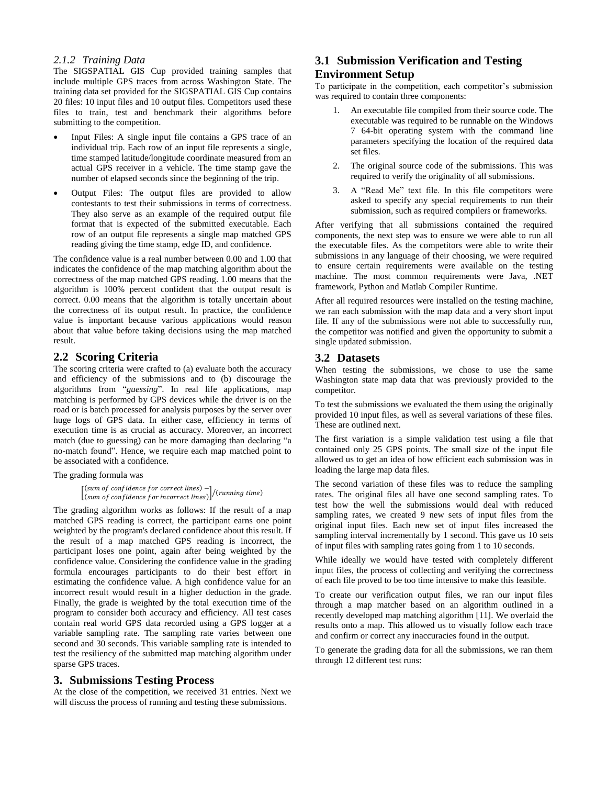#### *2.1.2 Training Data*

The SIGSPATIAL GIS Cup provided training samples that include multiple GPS traces from across Washington State. The training data set provided for the SIGSPATIAL GIS Cup contains 20 files: 10 input files and 10 output files. Competitors used these files to train, test and benchmark their algorithms before submitting to the competition.

- Input Files: A single input file contains a GPS trace of an individual trip. Each row of an input file represents a single, time stamped latitude/longitude coordinate measured from an actual GPS receiver in a vehicle. The time stamp gave the number of elapsed seconds since the beginning of the trip.
- Output Files: The output files are provided to allow contestants to test their submissions in terms of correctness. They also serve as an example of the required output file format that is expected of the submitted executable. Each row of an output file represents a single map matched GPS reading giving the time stamp, edge ID, and confidence.

The confidence value is a real number between 0.00 and 1.00 that indicates the confidence of the map matching algorithm about the correctness of the map matched GPS reading. 1.00 means that the algorithm is 100% percent confident that the output result is correct. 0.00 means that the algorithm is totally uncertain about the correctness of its output result. In practice, the confidence value is important because various applications would reason about that value before taking decisions using the map matched result.

#### **2.2 Scoring Criteria**

The scoring criteria were crafted to (a) evaluate both the accuracy and efficiency of the submissions and to (b) discourage the algorithms from "*guessing*". In real life applications, map matching is performed by GPS devices while the driver is on the road or is batch processed for analysis purposes by the server over huge logs of GPS data. In either case, efficiency in terms of execution time is as crucial as accuracy. Moreover, an incorrect match (due to guessing) can be more damaging than declaring "a no-match found". Hence, we require each map matched point to be associated with a confidence.

The grading formula was

 $\left[\begin{array}{cc} (sum \space of \space confidence \space for \space correct \space lines) - \\ (sum \space of \space is \space for \space is \space for \space is \space or \space is \space or \space is \space or \space is \space or \space is \space or \space is \space or \space is \space or \space is \space or \space is \space or \space is \space or \space is \space or \space is \space or \space is \space or \space is \space or \space is \space or \space is \space or \space is \space or \space is \space or \space is \space or \space is \space or \space is \space or \space is \space or \space is \space or \space is \space or \space is \space or \space is \space or \space is \space or \space is \space or \space is \space or$  $(\text{sum of confidence for incorrect lines})/(\text{running time})$ 

The grading algorithm works as follows: If the result of a map matched GPS reading is correct, the participant earns one point weighted by the program's declared confidence about this result. If the result of a map matched GPS reading is incorrect, the participant loses one point, again after being weighted by the confidence value. Considering the confidence value in the grading formula encourages participants to do their best effort in estimating the confidence value. A high confidence value for an incorrect result would result in a higher deduction in the grade. Finally, the grade is weighted by the total execution time of the program to consider both accuracy and efficiency. All test cases contain real world GPS data recorded using a GPS logger at a variable sampling rate. The sampling rate varies between one second and 30 seconds. This variable sampling rate is intended to test the resiliency of the submitted map matching algorithm under sparse GPS traces.

#### **3. Submissions Testing Process**

At the close of the competition, we received 31 entries. Next we will discuss the process of running and testing these submissions.

# **3.1 Submission Verification and Testing Environment Setup**

To participate in the competition, each competitor's submission was required to contain three components:

- 1. An executable file compiled from their source code. The executable was required to be runnable on the Windows 7 64-bit operating system with the command line parameters specifying the location of the required data set files.
- 2. The original source code of the submissions. This was required to verify the originality of all submissions.
- 3. A "Read Me" text file. In this file competitors were asked to specify any special requirements to run their submission, such as required compilers or frameworks.

After verifying that all submissions contained the required components, the next step was to ensure we were able to run all the executable files. As the competitors were able to write their submissions in any language of their choosing, we were required to ensure certain requirements were available on the testing machine. The most common requirements were Java, .NET framework, Python and Matlab Compiler Runtime.

After all required resources were installed on the testing machine, we ran each submission with the map data and a very short input file. If any of the submissions were not able to successfully run, the competitor was notified and given the opportunity to submit a single updated submission.

#### **3.2 Datasets**

When testing the submissions, we chose to use the same Washington state map data that was previously provided to the competitor.

To test the submissions we evaluated the them using the originally provided 10 input files, as well as several variations of these files. These are outlined next.

The first variation is a simple validation test using a file that contained only 25 GPS points. The small size of the input file allowed us to get an idea of how efficient each submission was in loading the large map data files.

The second variation of these files was to reduce the sampling rates. The original files all have one second sampling rates. To test how the well the submissions would deal with reduced sampling rates, we created 9 new sets of input files from the original input files. Each new set of input files increased the sampling interval incrementally by 1 second. This gave us 10 sets of input files with sampling rates going from 1 to 10 seconds.

While ideally we would have tested with completely different input files, the process of collecting and verifying the correctness of each file proved to be too time intensive to make this feasible.

To create our verification output files, we ran our input files through a map matcher based on an algorithm outlined in a recently developed map matching algorithm [\[11\]](#page-3-0). We overlaid the results onto a map. This allowed us to visually follow each trace and confirm or correct any inaccuracies found in the output.

To generate the grading data for all the submissions, we ran them through 12 different test runs: